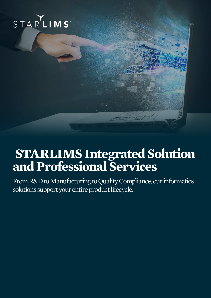

### **STARLIMS Integrated Solution and Professional Services**

From R&D to Manufacturing to Quality Compliance, our informatics solutions support your entire product lifecycle.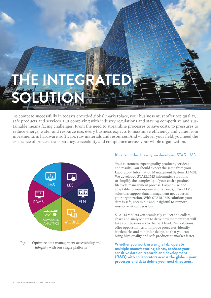# **INTEGR** SOLUTION **!!**

To compete successfully in today's crowded global marketplace, your business must offer top quality, safe products and services. But complying with industry regulations and staying competitive and sustainable means facing challenges. From the need to streamline processes to save costs, to pressures to reduce energy, water and resource use, every business expects to maximize efficiency and value from investments in hardware, software, raw materials and resources. And whatever your field, you need the assurance of process transparency, traceability and compliance across your whole organization.



### Fig. 1 - Optimize data management accessibility and integrity with our single platform

### It's a tall order. It's why we developed STARLIMS.

Your customers expect quality products, services and results. You should expect the same from your Laboratory Information Management System (LIMS). We developed STARLIMS informatics solutions to simplify the complexity of your entire product lifecycle management process. Easy-to-use and adaptable to your organization's needs, STARLIMS solutions support data management needs across your organization. With STARLIMS solutions your data is safe, accessible and insightful to support mission-critical decisions.

STARLIMS lets you seamlessly collect and collate, share and analyze data to drive development that will take your businesses to the next level. Our solutions offer opportunities to improve processes, identify bottlenecks and minimize delays, so that you can bring high quality and safe products to market faster.

**Whether you work in a single lab, operate multiple manufacturing plants, or share your sensitive data on research and development (R&D) with collaborators across the globe – your processes and data define your next directions.**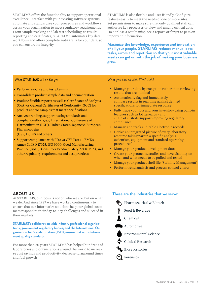STARLIMS offers the functionality to support operational excellence. Interface with your existing software systems, automate and standardize your procedures and workflows across your organization to meet regulatory requirements. From sample tracking and lab test scheduling, to results reporting and certificates, STARLIMS automates key data workflows and offers complete audit trails for your data, so you can ensure its integrity.

STARLIMS is also flexible and user friendly. Configure features easily to meet the needs of one or more sites. Set permissions to make sure that only qualified staff can authorize key processes or view and amend critical data. Do not lose a result, misplace a report, or forget to pass on important information.

**Maximize the knowledge, experience and innovation of all your people. STARLIMS reduces manual data tasks, errors and repetition so that your most valuable assets can get on with the job of making your business grow.** 

What STARLIMS will do for yo:

- Perform resource and test planning
- Consolidate product sample data and documentation
- Produce flexible reports as well as Certificates of Analysis (CoA) or General Certificates of Conformity (GCC) for product and/or samples that meet specifications
- Analyze trending, support testing standards and compliance efforts, e.g. International Conference of Harmonization (ICH), United States, Japanese, European Pharmacopeias

(USP, JP, EP) and others

• Support compliance with FDA 21 CFR Part 11, EMEA Annex 11, ISO 17025, ISO 9000, Good Manufacturing Practice (GMP), Consumer Product Safety Act (CPSA), and other regulatory requirements and best practices

What you can do with STARLIMS

- Manage your data by exception rather than reviewing results that are nominal
- Automatically flag and immediately compare results in real time against defined specifications for immediate response
- Fully trace your lots and your inventory using built-in features such as lot genealogy and chain of custody support improving regulatory compliance
- Manage and track auditable electronic records
- Derive an integrated picture of every laboratory resource taking part in a specific analysis (scientists, equipment and standard operating procedures)
- Manage your product development data
- Create your protocols, studies and have visibility on when and what needs to be pulled and tested
- Manage your product shelf life (Stability Management)
- Perform trend analysis and process control charts

### **ABOUT US**

At STARLIMS, our focus is not on who we are, but on what we do. And since 1987 we have worked continuously to ensure that our informatics solutions help our global customers respond to their day-to-day challenges and succeed in their markets.

#### **STARLIMS's collaboration with industry professional organizations, government regulatory bodies, and the International Organization for Standardization (ISO), ensure that our solutions meet quality standards.**

For more than 30 years STARLIMS has helped hundreds of laboratories and organizations around the world to increase cost savings and productivity, decrease turnaround times and fuel growth

### **These are the industries that we serve:**



STARLIMS GENERAL LIMS | JULY 2021 3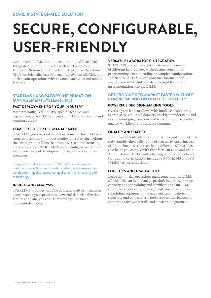### **SECURE, CONFIGURABLE, USER-FRIENDLY**

Our powerful LIMS sits at the center of the STARLIMS Integrated Solution. Integrate with our Laboratory Execution System (LES), Electronic Laboratory Notebook (ELN) or Scientific Data Management System (SDMS), and enrich your operations with advanced analytics and mobile features.

### **STARLIMS LABORATORY INFORMATION MANAGEMENT SYSTEM (LIMS)**

### **FAST DEPLOYMENT FOR YOUR INDUSTRY**

With preconfigured industry-specific features and capabilities, STARLIMS can get your LIMS solution up and running quickly.

### **COMPLETE LIFE CYCLE MANAGEMENT**

STARLIMS goes beyond data management. Our LIMS is a smart solution that improves quality and safety throughout the entire product lifecycle. From R&D to manufacturing and compliance, STARLIMS lets you configure workflows for a wide range of development projects and laboratory processes.

Designed by industry experts, STARLIMS is confgurable to match your workflows and standards, whether for research and development, quality assurance, quality control or testing and monitoring.

### **INSIGHT AND ANALYSIS**

STARLIMS provides valuable data and analysis insights at every stage in your processes. Powerful data visualization features and analytics tools empower you to make confident decisions.

### **VERSATILE LABORATORY INTEGRATION**

STARLIMS offers the versatility to meet the needs of different laboratories, without time consuming programming, custom coding or complex configurations. Interface STARLIMS with your measurement and analytical systems and take data straight from your instrumentation into the LIMS.

### **GET PRODUCTS TO MARKET FASTER WITHOUT COMPROMISING ON QUALITY OR SAFETY**

### **POWERFUL DECISION-MAKING TOOLS**

Oversee your lab workflows with intuitive dashboards. Search across multiple datasets quickly to understand and react to emerging trends or find ways to improve product quality, workflows and resource planning.

### **QUALITY AND SAFETY**

Built in audit trails, electronic signatures, and chain of custody simplify the quality control process by ensuring that SOPs and business rules are being followed. STARLIMS also helps you comply with the american Food and Drug Administration (FDA) and other regulations and policies. Our quality certifications include ISO 9001:2015 and ISO 13485:2016 accreditations.

### **LOGISTICS AND TRACEABILITY**

Leave day-to-day operations management to the LIMS. STARLIMS can help manage product inventory, storage capacity, analyst training and certifications. Our LIMS supports flexible order management, resource and test scheduling, equipment management, qualification and reporting and data analysis tools. And all this backed by comprehensive audit trails and electronic signatures.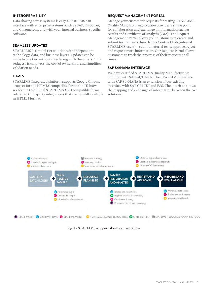Data sharing across systems is easy. STARLIMS can interface with enterprise systems, such as SAP, Empower, and Chromeleon, and with your internal business-specific software.

### **SEAMLESS UPDATES**

STARLIMS is a multi-tier solution with independent technology, data, and business layers. Updates can be made to one tier without interfering with the others. This reduces risks, lowers the cost of ownership, and simplifies validation needs.

#### **HTML5**

STARLIMS Integrated platform supports Google Chrome browser for the HTML5 compatible forms and IE browser for the traditional STARLIMS XFD compatible forms related to third-party integrations that are not still available in HTML5 format.

### **INTEROPERABILITY CONTROLLER REQUEST MANAGEMENT PORTAL**

Manage your customers' requests for testing. STARLIMS Quality Manufacturing solution provides a single point for collaboration and exchange of information such as results and Certificate of Analysis (CoA). The Request Management Portal allows your customers to create and submit test requests directly to a Contract Lab (internal STARLIMS users) – submit material tests, approve, reject and request more information. Our Request Portal allows customers to track the progress of their requests at all times.

### **SAP S4/HANA INTERFACE**

We have certified STARLIMS Quality Manufacturing Solution with SAP S4/HANA. The STARLIMS interface with SAP S4/HANA is an extension of our existing interface with SAP QM-IDI and ESS. The interface allows the mapping and exchange of information between the two solutions.



Fig. 2 - STARLIMS-support along your workflow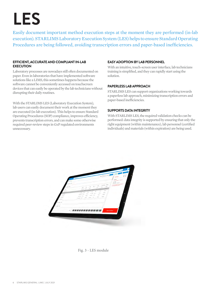## **LES**

Easily document important method execution steps at the moment they are performed (in-lab execution). STARLIMS Laboratory Execution System (LES) helps to ensure Standard Operating Procedures are being followed, avoiding transcription errors and paper-based inefficiencies.

### **EFFICIENT, ACCURATE AND COMPLIANT IN-LAB EXECUTION**

Laboratory processes are nowadays still often documented on paper. Even in laboratories that have implemented software solutions like a LIMS, this sometimes happens because the software cannot be conveniently accessed on touchscreen devices that can easily be operated by the lab technicians without disrupting their daily routines.

With the STARLIMS LES (Laboratory Execution System), lab users can easily document their work at the moment they are executed (in-lab execution). This helps to ensure Standard Operating Procedures (SOP) compliance, improves efficiency, prevents transcription errors, and can make some otherwise required peer-review steps in GxP regulated environments unnecessary.

### **EASY ADOPTION BY LAB PERSONNEL**

With an intuitive, touch-screen user interface, lab technicians training is simplified, and they can rapidly start using the solution.

### **PAPERLESS LAB APPROACH**

STARLIMS LES can support organizations working towards a paperless lab approach, minimizing transcription errors and paper-based inefficiencies.

### **SUPPORTS DATA INTEGRITY**

With STARLIMS LES, the required validation checks can be performed: data integrity is supported by ensuring that only the right equipment (within maintenance), lab personnel (certified individuals) and materials (within expiration) are being used.



Fig. 3 - LES module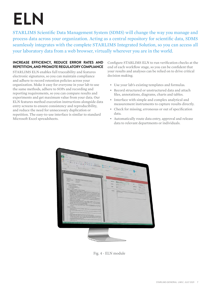## **ELN**

STARLIMS Scientific Data Management System (SDMS) will change the way you manage and process data across your organization. Acting as a central repository for scientific data, SDMS seamlessly integrates with the complete STARLIMS Integrated Solution, so you can access all your laboratory data from a web browser, virtually wherever you are in the world.

### **REPETITION, AND PROMOTE REGULATORY COMPLIANCE INCREASE EFFICIENCY, REDUCE ERROR RATES AND**

STARLIMS ELN enables full traceability and features electronic signatures, so you can maintain compliance and adhere to record retention policies across your organization. Make it easy for everyone in your lab to use the same methods, adhere to SOPs and recording and reporting requirements, so you can compare results and experiments and get maximum value from your data. Our ELN features method execution instructions alongside data entry screens to ensure consistency and reproducibility, and reduce the need for unnecessary duplication or repetition. The easy-to-use interface is similar to standard Microsoft Excel spreadsheets.

Configure STARLIMS ELN to run verification checks at the end of each workflow stage, so you can be confident that your results and analyses can be relied on to drive critical decision making.

- Use your lab's existing templates and formulas.
- Record structured or unstructured data and attach files, annotations, diagrams, charts and tables.
- Interface with simple and complex analytical and measurement instruments to capture results directly.
- Check for missing, erroneous or out of specification data.
- Automatically route data entry, approval and release data to relevant departments or individuals.



Fig. 4 - ELN module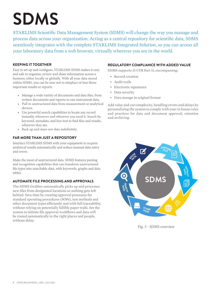# **SDMS**

STARLIMS Scientific Data Management System (SDMS) will change the way you manage and process data across your organization. Acting as a central repository for scientific data, SDMS seamlessly integrates with the complete STARLIMS Integrated Solution, so you can access all your laboratory data from a web browser, virtually wherever you are in the world.

### **KEEPING IT TOGETHER**

Easy to set up and confgure, STARLIMS SDMS makes it easy and safe to organize, review and share information across a business, either locally or globally. With all your data stored within SDMS, you can be sure not to misplace or lose those important results or reports.

- Manage a wide variety of documents and data fles, from written documents and reports to raw instrument data.
- Pull in unstructured data from measurement or analytical devices.
- Use powerful search capabilities to locate any record instantly, whenever and wherever you need it. Search by keyword, metadata, and free text to fnd fles and results, wherever they are.
- Back up and store raw data indefnitely.

### **FAR MORE THAN JUST A REPOSITORY**

Interface STARLIMS SDMS with your equipment to acquire analytical results automatically and reduce manual data entry and errors.

Make the most of unstructured data. SDMS features parsing and recognition capabilities that can transform unstructured fle types into searchable data, with keywords, graphs and data tables.

### **AUTOMATE FILE PROCESSING AND APPROVALS**

The SDMS Grabber automatically picks up and processes new files from designated locations so nothing gets left behind. Save time by creating approval processes for standard operating procedures (SOPs), test methods and other document types efficiently and with full traceability, without relying on potentially fallible paper trails. Set the system to initiate file approval workflows and data will be routed automatically to the right places and people, without delay.

### **REGULATORY COMPLIANCE WITH ADDED VALUE**

SDMS supports 21 CFR Part 11, encompassing:

- Record creation
- Audit trails
- Electronic signatures
- Data security
- Data storage in original format

Add value and cut complexity, handling errors and delays by personalizing the system to comply with your in house rules and practices for data and document approval, retention and archiving.



Fig. 5 - SDMS overview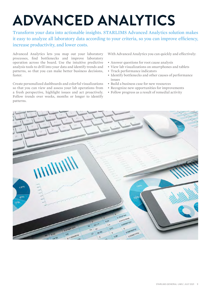### **ADVANCED ANALYTICS**

Transform your data into actionable insights. STARLIMS Advanced Analytics solution makes it easy to analyze all laboratory data according to your criteria, so you can improve efficiency, increase productivity, and lower costs.

Advanced Analytics lets you map out your laboratory processes, find bottlenecks and improve laboratory operation across the board. Use the intuitive predictive analysis tools to drill into your data and identify trends and patterns, so that you can make better business decisions, faster.

Create personalized dashboards and colorful visualizations so that you can view and assess your lab operations from a fresh perspective, highlight issues and act proactively. Follow trends over weeks, months or longer to identify patterns.

With Advanced Analytics you can quickly and effectively:

- Answer questions for root cause analysis
- View lab visualizations on smartphones and tablets
- Track performance indicators
- Identify bottlenecks and other causes of performance issues
- Build a business case for new resources
- Recognize new opportunities for improvements
- Follow progress as a result of remedial activity

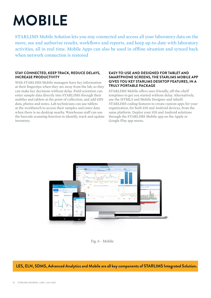### **MOBILE**

STARLIMS Mobile Solution lets you stay connected and access all your laboratory data on the move, see and authorize results, workflows and reports, and keep up-to-date with laboratory activities, all in real time. Mobile Apps can also be used in offline situation and synced back when network connection is restored

### **STAY CONNECTED, KEEP TRACK, REDUCE DELAYS, INCREASE PRODUCTIVITY**

With STARLIMS Mobile managers have key information at their fingertips when they are away from the lab, so they can make key decisions without delay. Field scientists can enter sample data directly into STARLIMS through their mobiles and tablets at the point of collection, and add GPS data, photos and notes. Lab technicians can use tablets at the workbench to access their samples and enter data when there is no desktop nearby. Warehouse staff can use the barcode scanning function to identify, track and update inventory.

### **EASY-TO-USE AND DESIGNED FOR TABLET AND SMARTPHONE SCREENS, THE STARLIMS MOBILE APP GIVES YOU KEY STARLIMS DESKTOP FEATURES, IN A TRULY PORTABLE PACKAGE**

STARLIMS Mobile offers user-friendly, off-the-shelf templates to get you started without delay. Alternatively, use the HTML5 and Mobile Designer and inbuilt STARLIMS coding features to create custom apps for your organization, for both iOS and Android devices, from the same platform. Deploy your iOS and Android solutions through the STARLIMS Mobile app on the Apple or Google Play app stores.





### **LES, ELN, SDMS, Advanced Analytics and Mobile are all key components of STARLIMS Integrated Solution.**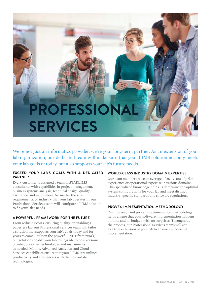### **PROFESSIONAL SERVICES**

We're not just an informatics provider, we're your long-term partner. As an extension of your lab organization, our dedicated team will make sure that your LIMS solution not only meets your lab goals of today, but also supports your lab's future needs.

### **EXCEED YOUR LAB'S GOALS WITH A DEDICATED PARTNER**

Every customer is assigned a team of STARLIMS consultants with capabilities in project management, business systems analysis, technical design, quality assurance, and much more. No matter the size, requirements, or industry that your lab operates in, our Professional Services team will configure a LIMS solution to fit your lab's needs.

### **A POWERFUL FRAMEWORK FOR THE FUTURE**

From reducing costs, ensuring quality, or enabling a paperless lab, our Professional Services team will tailor a solution that supports your lab's goals today and for years to come. Built on the powerful .NET framework, our solutions enable your lab to upgrade to new versions or integrate other technologies and instruments as needed. Mobile, Advanced Analytics, and Cloud Services capabilities ensure that your LIMS streamlines productivity and efficiencies with the up-to-date technologies.

### **WORLD-CLASS INDUSTRY DOMAIN EXPERTISE**

Our team members have an average of 20+ years of prior experience or operational expertise in various domains. This specialized knowledge helps us determine the optimal system configurations for your lab and meet distinct, industry-specific standards and software regulations.

### **PROVEN IMPLEMENTATION METHODOLOGY**

Our thorough and proven implementation methodology helps ensure that your software implementation happens on time and on budget, with no surprises. Throughout the process, our Professional Services teams will act as a true extension of your lab to ensure a successful implementation.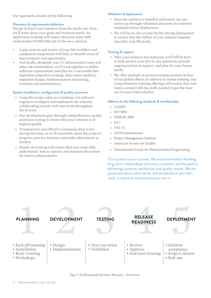### **Validation & deployment** Our approach consists of the following:

#### **Discovery & requirements definition**

We get to know your business from the inside out. First, we'll learn about your goals and business needs. An application training will ensure that your team fully understands STARLIMS out-of-the-box solution.

- A gap analysis and review of your lab workflow and equipment integrations will help us identify areas of improvement and opportunity.
- And finally, alongside your IT infrastructure team and other lab stakeholders, we'll work together to define software requirements and plan for a successful data migration (migration strategy, data source analysis, migration design, implementation and testing, revisions and maintenance).

#### **System installation, configuration & quality assurance**

- Using the project plan as a roadmap, our software engineers configure and implement the solution, collaborating closely with your team throughout the process.
- Our development goes through comprehensive quality assurance testing to ensure that your solution is of highest quality.
- Transparency and effective communication is key during this time, so we'll constantly share the project's progress, preview features, and make adjustments as needed.
- Hands-on training will ensure that your team fully understands how to operate and maintain the system for future enhancements.

- Once the solution is installed and tested, we can assist you through validation processes for industry standards before deployment.
- We will be on-site at your facility during deployment to ensure that the rollout of your solution happens smoothly and efficiently.

### **Training & support**

- After your solution has deployed, we'll still be here to help answer your day-to-day questions, provide ongoing technical support, and plan for your future needs.
- We offer multiple in-person training sessions in four of our global offices, in addition to online training. Our comprehensive training offerings will ensure that your team is armed with the skills needed to get the most out of your LIMS solution.

#### **Adheres to the following standards & memberships**

- GAMP5
- ISO 9001
- PMBOK 2000
- $\bullet$  HL7
- ITIL v3
- ASTM International
- Project Management Institute
- American Society for Quality
- International Society for Pharmaceutical Engineering

Our success is your success. We are committed to building long-term relationships with every customer and focused on delivering customer satisfaction and quality results. We are passionate about what we do, and we believe in your lab's work, in whatever environment you are in.



Fig. 7: Professional Services Process - Overview